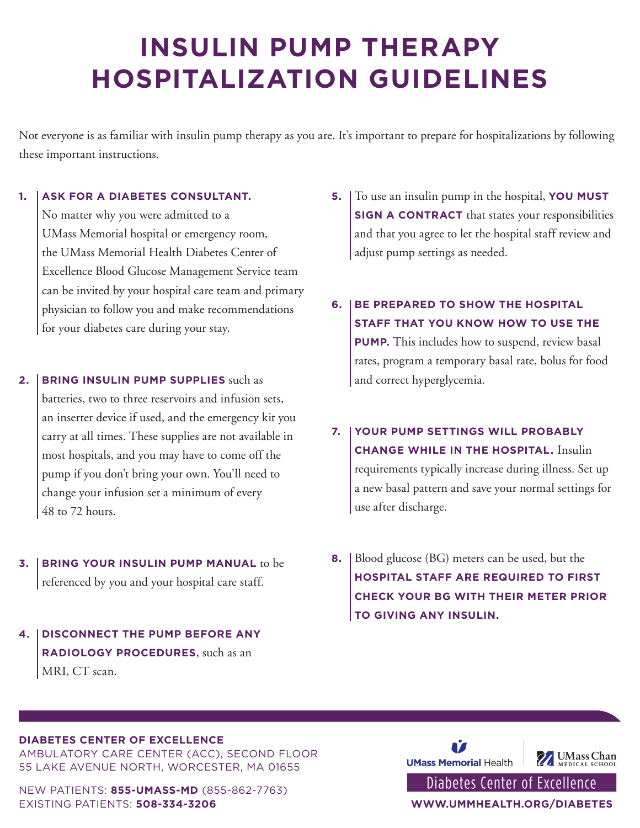## **INSULIN PUMP THERAPY HOSPITALIZATION GUIDELINES**

Not everyone is as familiar with insulin pump therapy as you are. It's important to prepare for hospitalizations by following these important instructions.

## **1. ASK FOR A DIABETES CONSULTANT.**

No matter why you were admitted to a UMass Memorial hospital or emergency room, the UMass Memorial Health Diabetes Center of Excellence Blood Glucose Management Service team can be invited by your hospital care team and primary physician to follow you and make recommendations for your diabetes care during your stay.

- **2. BRING INSULIN PUMP SUPPLIES** such as batteries, two to three reservoirs and infusion sets, an inserter device if used, and the emergency kit you carry at all times. These supplies are not available in most hospitals, and you may have to come off the pump if you don't bring your own. You'll need to change your infusion set a minimum of every 48 to 72 hours.
- **3. BRING YOUR INSULIN PUMP MANUAL** to be referenced by you and your hospital care staff.
- **4. DISCONNECT THE PUMP BEFORE ANY RADIOLOGY PROCEDURES**, such as an MRI, CT scan.
- **5.** To use an insulin pump in the hospital, **YOU MUST SIGN A CONTRACT** that states your responsibilities and that you agree to let the hospital staff review and adjust pump settings as needed.
- **6. BE PREPARED TO SHOW THE HOSPITAL STAFF THAT YOU KNOW HOW TO USE THE PUMP.** This includes how to suspend, review basal rates, program a temporary basal rate, bolus for food and correct hyperglycemia.
- **7. YOUR PUMP SETTINGS WILL PROBABLY CHANGE WHILE IN THE HOSPITAL.** Insulin requirements typically increase during illness. Set up a new basal pattern and save your normal settings for use after discharge.
- **8.** Blood glucose (BG) meters can be used, but the **HOSPITAL STAFF ARE REQUIRED TO FIRST CHECK YOUR BG WITH THEIR METER PRIOR TO GIVING ANY INSULIN.**

## **DIABETES CENTER OF EXCELLENCE**

AMBULATORY CARE CENTER (ACC), SECOND FLOOR 55 LAKE AVENUE NORTH, WORCESTER, MA 01655

NEW PATIENTS: **855-UMASS-MD** (855-862-7763) EXISTING PATIENTS: **508-334-3206 WWW.UMMHEALTH.ORG/DIABETES**